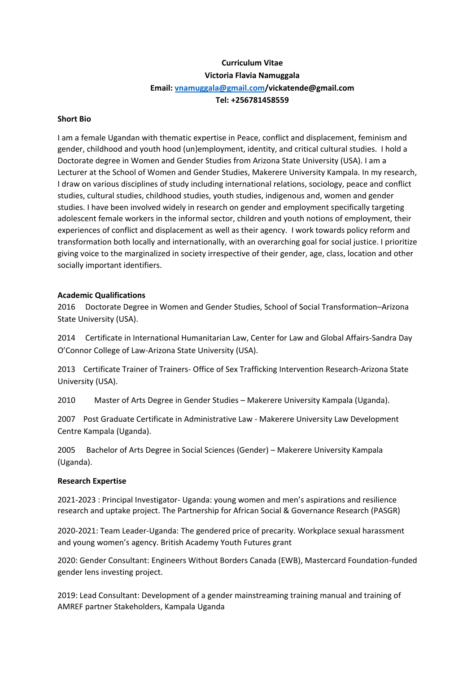# **Curriculum Vitae Victoria Flavia Namuggala Email[: vnamuggala@gmail.com/](mailto:vnamuggala@gmail.com)vickatende@gmail.com Tel: +256781458559**

## **Short Bio**

I am a female Ugandan with thematic expertise in Peace, conflict and displacement, feminism and gender, childhood and youth hood (un)employment, identity, and critical cultural studies. I hold a Doctorate degree in Women and Gender Studies from Arizona State University (USA). I am a Lecturer at the School of Women and Gender Studies, Makerere University Kampala. In my research, I draw on various disciplines of study including international relations, sociology, peace and conflict studies, cultural studies, childhood studies, youth studies, indigenous and, women and gender studies. I have been involved widely in research on gender and employment specifically targeting adolescent female workers in the informal sector, children and youth notions of employment, their experiences of conflict and displacement as well as their agency. I work towards policy reform and transformation both locally and internationally, with an overarching goal for social justice. I prioritize giving voice to the marginalized in society irrespective of their gender, age, class, location and other socially important identifiers.

## **Academic Qualifications**

2016 Doctorate Degree in Women and Gender Studies, School of Social Transformation–Arizona State University (USA).

2014 Certificate in International Humanitarian Law, Center for Law and Global Affairs-Sandra Day O'Connor College of Law-Arizona State University (USA).

2013 Certificate Trainer of Trainers- Office of Sex Trafficking Intervention Research-Arizona State University (USA).

2010 Master of Arts Degree in Gender Studies – Makerere University Kampala (Uganda).

2007 Post Graduate Certificate in Administrative Law - Makerere University Law Development Centre Kampala (Uganda).

2005 Bachelor of Arts Degree in Social Sciences (Gender) – Makerere University Kampala (Uganda).

## **Research Expertise**

2021-2023 : Principal Investigator- Uganda: young women and men's aspirations and resilience research and uptake project. The Partnership for African Social & Governance Research (PASGR)

2020-2021: Team Leader-Uganda: The gendered price of precarity. Workplace sexual harassment and young women's agency. British Academy Youth Futures grant

2020: Gender Consultant: Engineers Without Borders Canada (EWB), Mastercard Foundation-funded gender lens investing project.

2019: Lead Consultant: Development of a gender mainstreaming training manual and training of AMREF partner Stakeholders, Kampala Uganda